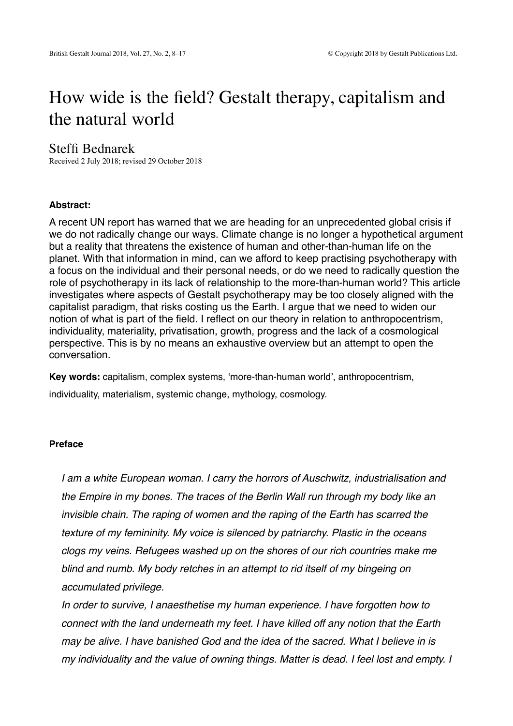# How wide is the field? Gestalt therapy, capitalism and the natural world

## Steffi Bednarek

Received 2 July 2018; revised 29 October 2018

#### **Abstract:**

A recent UN report has warned that we are heading for an unprecedented global crisis if we do not radically change our ways. Climate change is no longer a hypothetical argument but a reality that threatens the existence of human and other-than-human life on the planet. With that information in mind, can we afford to keep practising psychotherapy with a focus on the individual and their personal needs, or do we need to radically question the role of psychotherapy in its lack of relationship to the more-than-human world? This article investigates where aspects of Gestalt psychotherapy may be too closely aligned with the capitalist paradigm, that risks costing us the Earth. I argue that we need to widen our notion of what is part of the field. I reflect on our theory in relation to anthropocentrism, individuality, materiality, privatisation, growth, progress and the lack of a cosmological perspective. This is by no means an exhaustive overview but an attempt to open the conversation.

**Key words:** capitalism, complex systems, 'more-than-human world', anthropocentrism, individuality, materialism, systemic change, mythology, cosmology.

#### **Preface**

*I am a white European woman. I carry the horrors of Auschwitz, industrialisation and the Empire in my bones. The traces of the Berlin Wall run through my body like an invisible chain. The raping of women and the raping of the Earth has scarred the texture of my femininity. My voice is silenced by patriarchy. Plastic in the oceans clogs my veins. Refugees washed up on the shores of our rich countries make me blind and numb. My body retches in an attempt to rid itself of my bingeing on accumulated privilege.* 

*In order to survive, I anaesthetise my human experience. I have forgotten how to connect with the land underneath my feet. I have killed off any notion that the Earth may be alive. I have banished God and the idea of the sacred. What I believe in is my individuality and the value of owning things. Matter is dead. I feel lost and empty. I*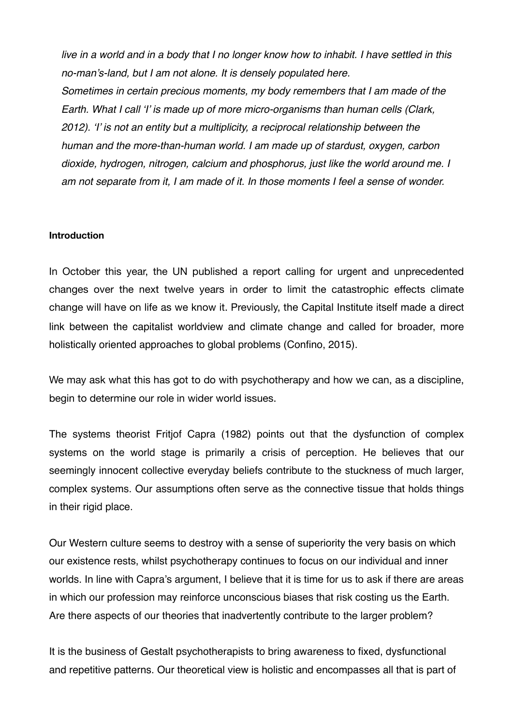*live in a world and in a body that I no longer know how to inhabit. I have settled in this no-man's-land, but I am not alone. It is densely populated here. Sometimes in certain precious moments, my body remembers that I am made of the Earth. What I call 'I' is made up of more micro-organisms than human cells (Clark, 2012). 'I' is not an entity but a multiplicity, a reciprocal relationship between the human and the more-than-human world. I am made up of stardust, oxygen, carbon dioxide, hydrogen, nitrogen, calcium and phosphorus, just like the world around me. I am not separate from it, I am made of it. In those moments I feel a sense of wonder.* 

#### **Introduction**

In October this year, the UN published a report calling for urgent and unprecedented changes over the next twelve years in order to limit the catastrophic effects climate change will have on life as we know it. Previously, the Capital Institute itself made a direct link between the capitalist worldview and climate change and called for broader, more holistically oriented approaches to global problems (Confino, 2015).

We may ask what this has got to do with psychotherapy and how we can, as a discipline, begin to determine our role in wider world issues.

The systems theorist Fritjof Capra (1982) points out that the dysfunction of complex systems on the world stage is primarily a crisis of perception. He believes that our seemingly innocent collective everyday beliefs contribute to the stuckness of much larger, complex systems. Our assumptions often serve as the connective tissue that holds things in their rigid place.

Our Western culture seems to destroy with a sense of superiority the very basis on which our existence rests, whilst psychotherapy continues to focus on our individual and inner worlds. In line with Capra's argument, I believe that it is time for us to ask if there are areas in which our profession may reinforce unconscious biases that risk costing us the Earth. Are there aspects of our theories that inadvertently contribute to the larger problem?

It is the business of Gestalt psychotherapists to bring awareness to fixed, dysfunctional and repetitive patterns. Our theoretical view is holistic and encompasses all that is part of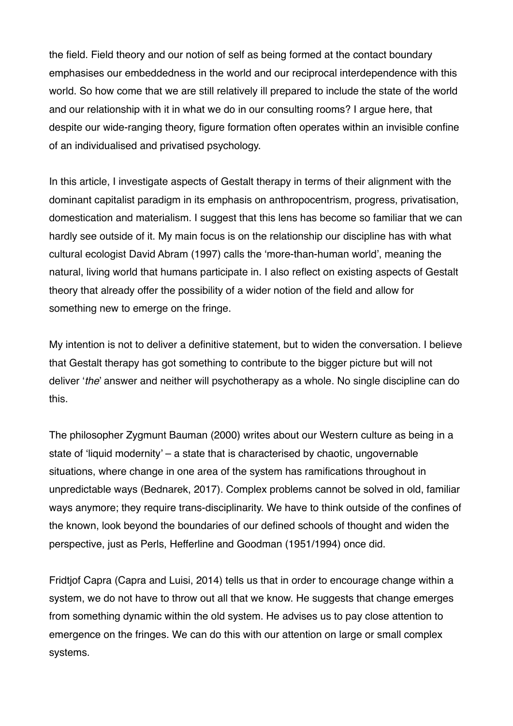the field. Field theory and our notion of self as being formed at the contact boundary emphasises our embeddedness in the world and our reciprocal interdependence with this world. So how come that we are still relatively ill prepared to include the state of the world and our relationship with it in what we do in our consulting rooms? I argue here, that despite our wide-ranging theory, figure formation often operates within an invisible confine of an individualised and privatised psychology.

In this article, I investigate aspects of Gestalt therapy in terms of their alignment with the dominant capitalist paradigm in its emphasis on anthropocentrism, progress, privatisation, domestication and materialism. I suggest that this lens has become so familiar that we can hardly see outside of it. My main focus is on the relationship our discipline has with what cultural ecologist David Abram (1997) calls the 'more-than-human world', meaning the natural, living world that humans participate in. I also reflect on existing aspects of Gestalt theory that already offer the possibility of a wider notion of the field and allow for something new to emerge on the fringe.

My intention is not to deliver a definitive statement, but to widen the conversation. I believe that Gestalt therapy has got something to contribute to the bigger picture but will not deliver '*the*' answer and neither will psychotherapy as a whole. No single discipline can do this.

The philosopher Zygmunt Bauman (2000) writes about our Western culture as being in a state of 'liquid modernity' – a state that is characterised by chaotic, ungovernable situations, where change in one area of the system has ramifications throughout in unpredictable ways (Bednarek, 2017). Complex problems cannot be solved in old, familiar ways anymore; they require trans-disciplinarity. We have to think outside of the confines of the known, look beyond the boundaries of our defined schools of thought and widen the perspective, just as Perls, Hefferline and Goodman (1951/1994) once did.

Fridtjof Capra (Capra and Luisi, 2014) tells us that in order to encourage change within a system, we do not have to throw out all that we know. He suggests that change emerges from something dynamic within the old system. He advises us to pay close attention to emergence on the fringes. We can do this with our attention on large or small complex systems.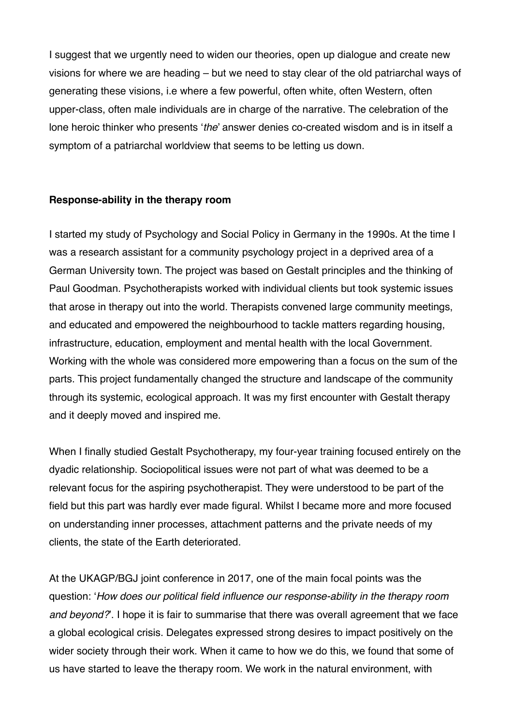I suggest that we urgently need to widen our theories, open up dialogue and create new visions for where we are heading – but we need to stay clear of the old patriarchal ways of generating these visions, i.e where a few powerful, often white, often Western, often upper-class, often male individuals are in charge of the narrative. The celebration of the lone heroic thinker who presents '*the*' answer denies co-created wisdom and is in itself a symptom of a patriarchal worldview that seems to be letting us down.

## **Response-ability in the therapy room**

I started my study of Psychology and Social Policy in Germany in the 1990s. At the time I was a research assistant for a community psychology project in a deprived area of a German University town. The project was based on Gestalt principles and the thinking of Paul Goodman. Psychotherapists worked with individual clients but took systemic issues that arose in therapy out into the world. Therapists convened large community meetings, and educated and empowered the neighbourhood to tackle matters regarding housing, infrastructure, education, employment and mental health with the local Government. Working with the whole was considered more empowering than a focus on the sum of the parts. This project fundamentally changed the structure and landscape of the community through its systemic, ecological approach. It was my first encounter with Gestalt therapy and it deeply moved and inspired me.

When I finally studied Gestalt Psychotherapy, my four-year training focused entirely on the dyadic relationship. Sociopolitical issues were not part of what was deemed to be a relevant focus for the aspiring psychotherapist. They were understood to be part of the field but this part was hardly ever made figural. Whilst I became more and more focused on understanding inner processes, attachment patterns and the private needs of my clients, the state of the Earth deteriorated.

At the UKAGP/BGJ joint conference in 2017, one of the main focal points was the question: '*How does our political field influence our response-ability in the therapy room and beyond?*'. I hope it is fair to summarise that there was overall agreement that we face a global ecological crisis. Delegates expressed strong desires to impact positively on the wider society through their work. When it came to how we do this, we found that some of us have started to leave the therapy room. We work in the natural environment, with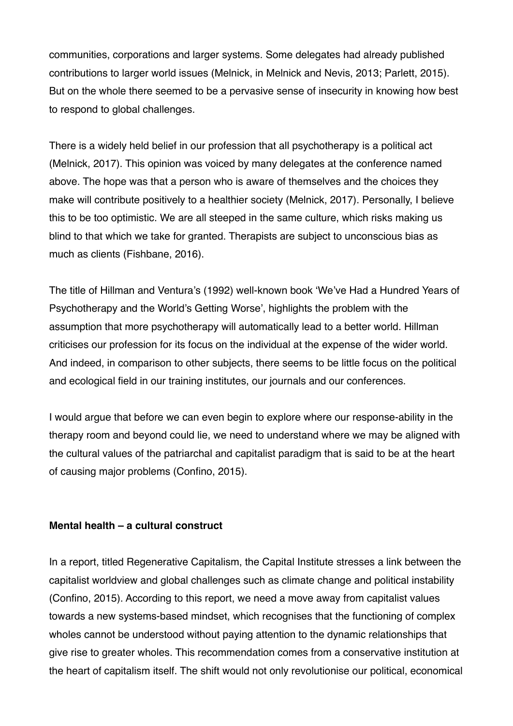communities, corporations and larger systems. Some delegates had already published contributions to larger world issues (Melnick, in Melnick and Nevis, 2013; Parlett, 2015). But on the whole there seemed to be a pervasive sense of insecurity in knowing how best to respond to global challenges.

There is a widely held belief in our profession that all psychotherapy is a political act (Melnick, 2017). This opinion was voiced by many delegates at the conference named above. The hope was that a person who is aware of themselves and the choices they make will contribute positively to a healthier society (Melnick, 2017). Personally, I believe this to be too optimistic. We are all steeped in the same culture, which risks making us blind to that which we take for granted. Therapists are subject to unconscious bias as much as clients (Fishbane, 2016).

The title of Hillman and Ventura's (1992) well-known book 'We've Had a Hundred Years of Psychotherapy and the World's Getting Worse', highlights the problem with the assumption that more psychotherapy will automatically lead to a better world. Hillman criticises our profession for its focus on the individual at the expense of the wider world. And indeed, in comparison to other subjects, there seems to be little focus on the political and ecological field in our training institutes, our journals and our conferences.

I would argue that before we can even begin to explore where our response-ability in the therapy room and beyond could lie, we need to understand where we may be aligned with the cultural values of the patriarchal and capitalist paradigm that is said to be at the heart of causing major problems (Confino, 2015).

## **Mental health – a cultural construct**

In a report, titled Regenerative Capitalism, the Capital Institute stresses a link between the capitalist worldview and global challenges such as climate change and political instability (Confino, 2015). According to this report, we need a move away from capitalist values towards a new systems-based mindset, which recognises that the functioning of complex wholes cannot be understood without paying attention to the dynamic relationships that give rise to greater wholes. This recommendation comes from a conservative institution at the heart of capitalism itself. The shift would not only revolutionise our political, economical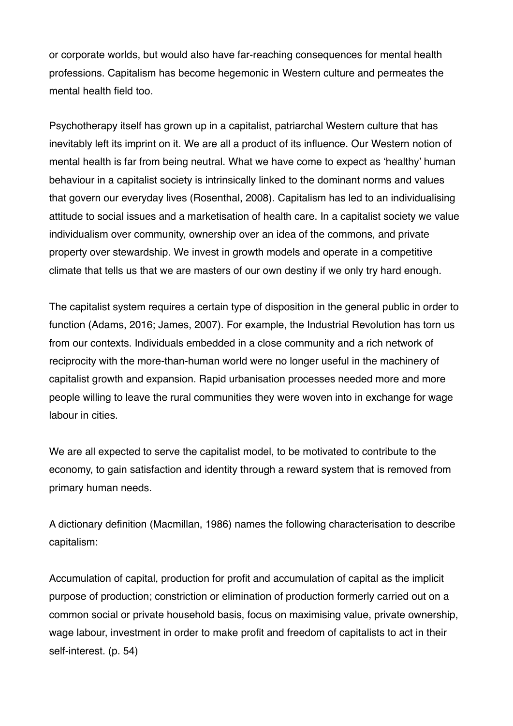or corporate worlds, but would also have far-reaching consequences for mental health professions. Capitalism has become hegemonic in Western culture and permeates the mental health field too.

Psychotherapy itself has grown up in a capitalist, patriarchal Western culture that has inevitably left its imprint on it. We are all a product of its influence. Our Western notion of mental health is far from being neutral. What we have come to expect as 'healthy' human behaviour in a capitalist society is intrinsically linked to the dominant norms and values that govern our everyday lives (Rosenthal, 2008). Capitalism has led to an individualising attitude to social issues and a marketisation of health care. In a capitalist society we value individualism over community, ownership over an idea of the commons, and private property over stewardship. We invest in growth models and operate in a competitive climate that tells us that we are masters of our own destiny if we only try hard enough.

The capitalist system requires a certain type of disposition in the general public in order to function (Adams, 2016; James, 2007). For example, the Industrial Revolution has torn us from our contexts. Individuals embedded in a close community and a rich network of reciprocity with the more-than-human world were no longer useful in the machinery of capitalist growth and expansion. Rapid urbanisation processes needed more and more people willing to leave the rural communities they were woven into in exchange for wage labour in cities.

We are all expected to serve the capitalist model, to be motivated to contribute to the economy, to gain satisfaction and identity through a reward system that is removed from primary human needs.

A dictionary definition (Macmillan, 1986) names the following characterisation to describe capitalism:

Accumulation of capital, production for profit and accumulation of capital as the implicit purpose of production; constriction or elimination of production formerly carried out on a common social or private household basis, focus on maximising value, private ownership, wage labour, investment in order to make profit and freedom of capitalists to act in their self-interest. (p. 54)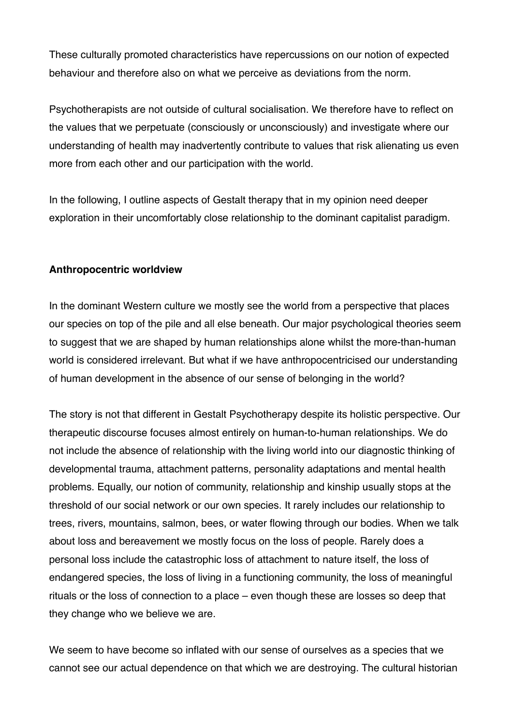These culturally promoted characteristics have repercussions on our notion of expected behaviour and therefore also on what we perceive as deviations from the norm.

Psychotherapists are not outside of cultural socialisation. We therefore have to reflect on the values that we perpetuate (consciously or unconsciously) and investigate where our understanding of health may inadvertently contribute to values that risk alienating us even more from each other and our participation with the world.

In the following, I outline aspects of Gestalt therapy that in my opinion need deeper exploration in their uncomfortably close relationship to the dominant capitalist paradigm.

## **Anthropocentric worldview**

In the dominant Western culture we mostly see the world from a perspective that places our species on top of the pile and all else beneath. Our major psychological theories seem to suggest that we are shaped by human relationships alone whilst the more-than-human world is considered irrelevant. But what if we have anthropocentricised our understanding of human development in the absence of our sense of belonging in the world?

The story is not that different in Gestalt Psychotherapy despite its holistic perspective. Our therapeutic discourse focuses almost entirely on human-to-human relationships. We do not include the absence of relationship with the living world into our diagnostic thinking of developmental trauma, attachment patterns, personality adaptations and mental health problems. Equally, our notion of community, relationship and kinship usually stops at the threshold of our social network or our own species. It rarely includes our relationship to trees, rivers, mountains, salmon, bees, or water flowing through our bodies. When we talk about loss and bereavement we mostly focus on the loss of people. Rarely does a personal loss include the catastrophic loss of attachment to nature itself, the loss of endangered species, the loss of living in a functioning community, the loss of meaningful rituals or the loss of connection to a place – even though these are losses so deep that they change who we believe we are.

We seem to have become so inflated with our sense of ourselves as a species that we cannot see our actual dependence on that which we are destroying. The cultural historian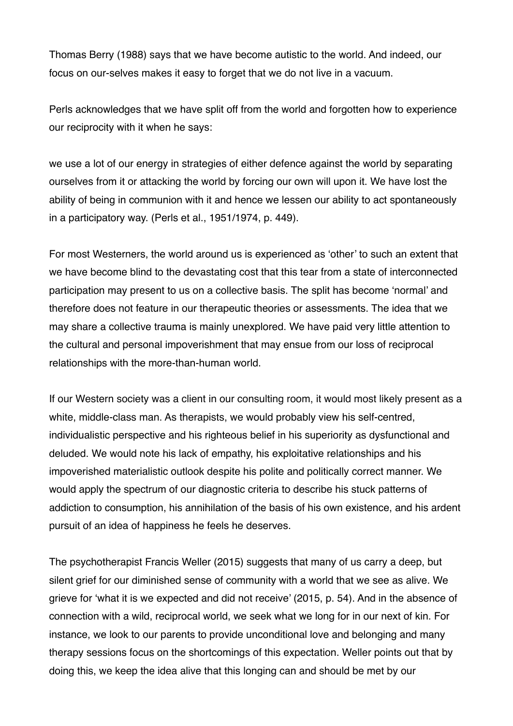Thomas Berry (1988) says that we have become autistic to the world. And indeed, our focus on our-selves makes it easy to forget that we do not live in a vacuum.

Perls acknowledges that we have split off from the world and forgotten how to experience our reciprocity with it when he says:

we use a lot of our energy in strategies of either defence against the world by separating ourselves from it or attacking the world by forcing our own will upon it. We have lost the ability of being in communion with it and hence we lessen our ability to act spontaneously in a participatory way. (Perls et al., 1951/1974, p. 449).

For most Westerners, the world around us is experienced as 'other' to such an extent that we have become blind to the devastating cost that this tear from a state of interconnected participation may present to us on a collective basis. The split has become 'normal' and therefore does not feature in our therapeutic theories or assessments. The idea that we may share a collective trauma is mainly unexplored. We have paid very little attention to the cultural and personal impoverishment that may ensue from our loss of reciprocal relationships with the more-than-human world.

If our Western society was a client in our consulting room, it would most likely present as a white, middle-class man. As therapists, we would probably view his self-centred, individualistic perspective and his righteous belief in his superiority as dysfunctional and deluded. We would note his lack of empathy, his exploitative relationships and his impoverished materialistic outlook despite his polite and politically correct manner. We would apply the spectrum of our diagnostic criteria to describe his stuck patterns of addiction to consumption, his annihilation of the basis of his own existence, and his ardent pursuit of an idea of happiness he feels he deserves.

The psychotherapist Francis Weller (2015) suggests that many of us carry a deep, but silent grief for our diminished sense of community with a world that we see as alive. We grieve for 'what it is we expected and did not receive' (2015, p. 54). And in the absence of connection with a wild, reciprocal world, we seek what we long for in our next of kin. For instance, we look to our parents to provide unconditional love and belonging and many therapy sessions focus on the shortcomings of this expectation. Weller points out that by doing this, we keep the idea alive that this longing can and should be met by our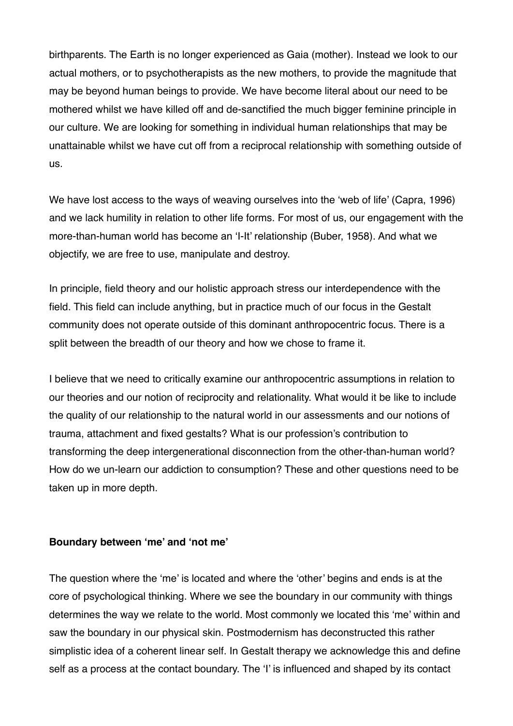birthparents. The Earth is no longer experienced as Gaia (mother). Instead we look to our actual mothers, or to psychotherapists as the new mothers, to provide the magnitude that may be beyond human beings to provide. We have become literal about our need to be mothered whilst we have killed off and de-sanctified the much bigger feminine principle in our culture. We are looking for something in individual human relationships that may be unattainable whilst we have cut off from a reciprocal relationship with something outside of us.

We have lost access to the ways of weaving ourselves into the 'web of life' (Capra, 1996) and we lack humility in relation to other life forms. For most of us, our engagement with the more-than-human world has become an 'I-It' relationship (Buber, 1958). And what we objectify, we are free to use, manipulate and destroy.

In principle, field theory and our holistic approach stress our interdependence with the field. This field can include anything, but in practice much of our focus in the Gestalt community does not operate outside of this dominant anthropocentric focus. There is a split between the breadth of our theory and how we chose to frame it.

I believe that we need to critically examine our anthropocentric assumptions in relation to our theories and our notion of reciprocity and relationality. What would it be like to include the quality of our relationship to the natural world in our assessments and our notions of trauma, attachment and fixed gestalts? What is our profession's contribution to transforming the deep intergenerational disconnection from the other-than-human world? How do we un-learn our addiction to consumption? These and other questions need to be taken up in more depth.

## **Boundary between 'me' and 'not me'**

The question where the 'me' is located and where the 'other' begins and ends is at the core of psychological thinking. Where we see the boundary in our community with things determines the way we relate to the world. Most commonly we located this 'me' within and saw the boundary in our physical skin. Postmodernism has deconstructed this rather simplistic idea of a coherent linear self. In Gestalt therapy we acknowledge this and define self as a process at the contact boundary. The 'I' is influenced and shaped by its contact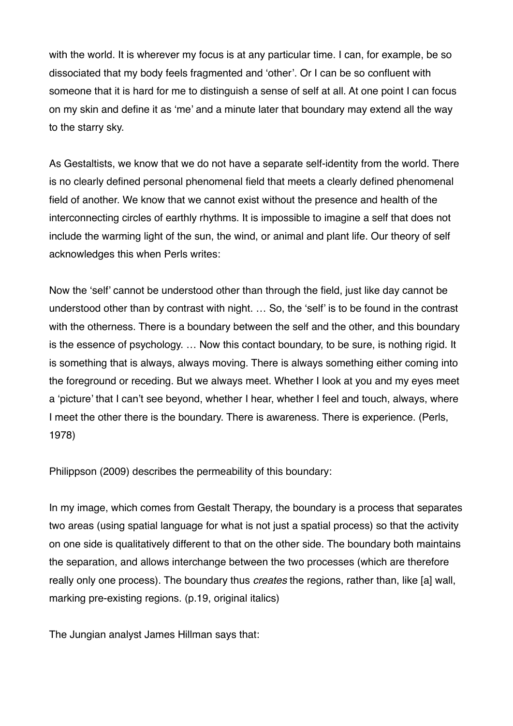with the world. It is wherever my focus is at any particular time. I can, for example, be so dissociated that my body feels fragmented and 'other'. Or I can be so confluent with someone that it is hard for me to distinguish a sense of self at all. At one point I can focus on my skin and define it as 'me' and a minute later that boundary may extend all the way to the starry sky.

As Gestaltists, we know that we do not have a separate self-identity from the world. There is no clearly defined personal phenomenal field that meets a clearly defined phenomenal field of another. We know that we cannot exist without the presence and health of the interconnecting circles of earthly rhythms. It is impossible to imagine a self that does not include the warming light of the sun, the wind, or animal and plant life. Our theory of self acknowledges this when Perls writes:

Now the 'self' cannot be understood other than through the field, just like day cannot be understood other than by contrast with night. … So, the 'self' is to be found in the contrast with the otherness. There is a boundary between the self and the other, and this boundary is the essence of psychology. … Now this contact boundary, to be sure, is nothing rigid. It is something that is always, always moving. There is always something either coming into the foreground or receding. But we always meet. Whether I look at you and my eyes meet a 'picture' that I can't see beyond, whether I hear, whether I feel and touch, always, where I meet the other there is the boundary. There is awareness. There is experience. (Perls, 1978)

Philippson (2009) describes the permeability of this boundary:

In my image, which comes from Gestalt Therapy, the boundary is a process that separates two areas (using spatial language for what is not just a spatial process) so that the activity on one side is qualitatively different to that on the other side. The boundary both maintains the separation, and allows interchange between the two processes (which are therefore really only one process). The boundary thus *creates* the regions, rather than, like [a] wall, marking pre-existing regions. (p.19, original italics)

The Jungian analyst James Hillman says that: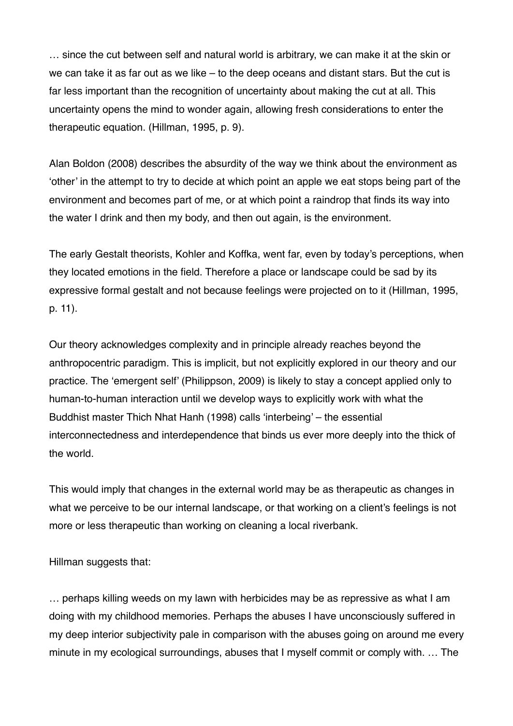… since the cut between self and natural world is arbitrary, we can make it at the skin or we can take it as far out as we like – to the deep oceans and distant stars. But the cut is far less important than the recognition of uncertainty about making the cut at all. This uncertainty opens the mind to wonder again, allowing fresh considerations to enter the therapeutic equation. (Hillman, 1995, p. 9).

Alan Boldon (2008) describes the absurdity of the way we think about the environment as 'other' in the attempt to try to decide at which point an apple we eat stops being part of the environment and becomes part of me, or at which point a raindrop that finds its way into the water I drink and then my body, and then out again, is the environment.

The early Gestalt theorists, Kohler and Koffka, went far, even by today's perceptions, when they located emotions in the field. Therefore a place or landscape could be sad by its expressive formal gestalt and not because feelings were projected on to it (Hillman, 1995, p. 11).

Our theory acknowledges complexity and in principle already reaches beyond the anthropocentric paradigm. This is implicit, but not explicitly explored in our theory and our practice. The 'emergent self' (Philippson, 2009) is likely to stay a concept applied only to human-to-human interaction until we develop ways to explicitly work with what the Buddhist master Thich Nhat Hanh (1998) calls 'interbeing' – the essential interconnectedness and interdependence that binds us ever more deeply into the thick of the world.

This would imply that changes in the external world may be as therapeutic as changes in what we perceive to be our internal landscape, or that working on a client's feelings is not more or less therapeutic than working on cleaning a local riverbank.

Hillman suggests that:

… perhaps killing weeds on my lawn with herbicides may be as repressive as what I am doing with my childhood memories. Perhaps the abuses I have unconsciously suffered in my deep interior subjectivity pale in comparison with the abuses going on around me every minute in my ecological surroundings, abuses that I myself commit or comply with. … The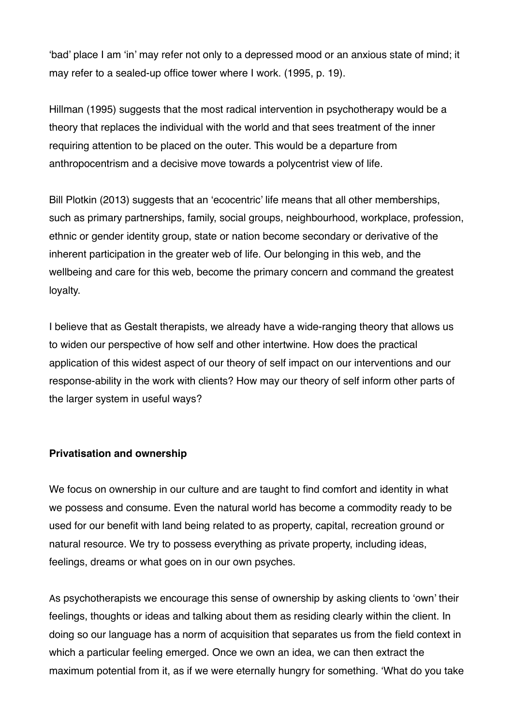'bad' place I am 'in' may refer not only to a depressed mood or an anxious state of mind; it may refer to a sealed-up office tower where I work. (1995, p. 19).

Hillman (1995) suggests that the most radical intervention in psychotherapy would be a theory that replaces the individual with the world and that sees treatment of the inner requiring attention to be placed on the outer. This would be a departure from anthropocentrism and a decisive move towards a polycentrist view of life.

Bill Plotkin (2013) suggests that an 'ecocentric' life means that all other memberships, such as primary partnerships, family, social groups, neighbourhood, workplace, profession, ethnic or gender identity group, state or nation become secondary or derivative of the inherent participation in the greater web of life. Our belonging in this web, and the wellbeing and care for this web, become the primary concern and command the greatest loyalty.

I believe that as Gestalt therapists, we already have a wide-ranging theory that allows us to widen our perspective of how self and other intertwine. How does the practical application of this widest aspect of our theory of self impact on our interventions and our response-ability in the work with clients? How may our theory of self inform other parts of the larger system in useful ways?

## **Privatisation and ownership**

We focus on ownership in our culture and are taught to find comfort and identity in what we possess and consume. Even the natural world has become a commodity ready to be used for our benefit with land being related to as property, capital, recreation ground or natural resource. We try to possess everything as private property, including ideas, feelings, dreams or what goes on in our own psyches.

As psychotherapists we encourage this sense of ownership by asking clients to 'own' their feelings, thoughts or ideas and talking about them as residing clearly within the client. In doing so our language has a norm of acquisition that separates us from the field context in which a particular feeling emerged. Once we own an idea, we can then extract the maximum potential from it, as if we were eternally hungry for something. 'What do you take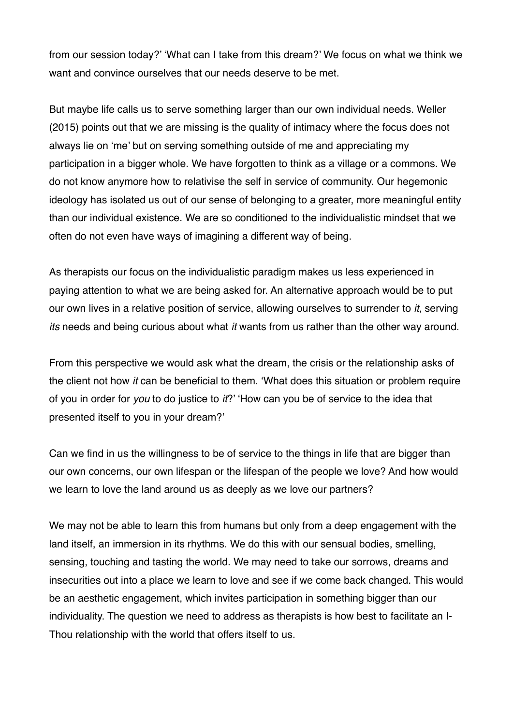from our session today?' 'What can I take from this dream?' We focus on what we think we want and convince ourselves that our needs deserve to be met.

But maybe life calls us to serve something larger than our own individual needs. Weller (2015) points out that we are missing is the quality of intimacy where the focus does not always lie on 'me' but on serving something outside of me and appreciating my participation in a bigger whole. We have forgotten to think as a village or a commons. We do not know anymore how to relativise the self in service of community. Our hegemonic ideology has isolated us out of our sense of belonging to a greater, more meaningful entity than our individual existence. We are so conditioned to the individualistic mindset that we often do not even have ways of imagining a different way of being.

As therapists our focus on the individualistic paradigm makes us less experienced in paying attention to what we are being asked for. An alternative approach would be to put our own lives in a relative position of service, allowing ourselves to surrender to *it*, serving *its* needs and being curious about what *it* wants from us rather than the other way around.

From this perspective we would ask what the dream, the crisis or the relationship asks of the client not how *it* can be beneficial to them. 'What does this situation or problem require of you in order for *you* to do justice to *it*?' 'How can you be of service to the idea that presented itself to you in your dream?'

Can we find in us the willingness to be of service to the things in life that are bigger than our own concerns, our own lifespan or the lifespan of the people we love? And how would we learn to love the land around us as deeply as we love our partners?

We may not be able to learn this from humans but only from a deep engagement with the land itself, an immersion in its rhythms. We do this with our sensual bodies, smelling, sensing, touching and tasting the world. We may need to take our sorrows, dreams and insecurities out into a place we learn to love and see if we come back changed. This would be an aesthetic engagement, which invites participation in something bigger than our individuality. The question we need to address as therapists is how best to facilitate an I-Thou relationship with the world that offers itself to us.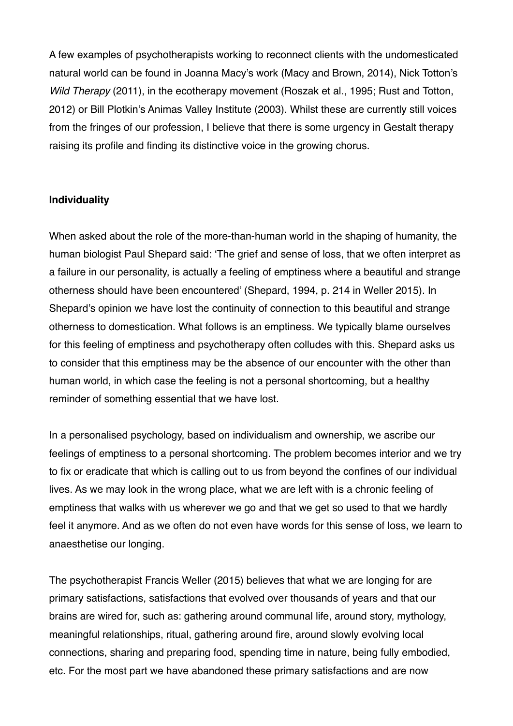A few examples of psychotherapists working to reconnect clients with the undomesticated natural world can be found in Joanna Macy's work (Macy and Brown, 2014), Nick Totton's *Wild Therapy* (2011), in the ecotherapy movement (Roszak et al., 1995; Rust and Totton, 2012) or Bill Plotkin's Animas Valley Institute (2003). Whilst these are currently still voices from the fringes of our profession, I believe that there is some urgency in Gestalt therapy raising its profile and finding its distinctive voice in the growing chorus.

## **Individuality**

When asked about the role of the more-than-human world in the shaping of humanity, the human biologist Paul Shepard said: 'The grief and sense of loss, that we often interpret as a failure in our personality, is actually a feeling of emptiness where a beautiful and strange otherness should have been encountered' (Shepard, 1994, p. 214 in Weller 2015). In Shepard's opinion we have lost the continuity of connection to this beautiful and strange otherness to domestication. What follows is an emptiness. We typically blame ourselves for this feeling of emptiness and psychotherapy often colludes with this. Shepard asks us to consider that this emptiness may be the absence of our encounter with the other than human world, in which case the feeling is not a personal shortcoming, but a healthy reminder of something essential that we have lost.

In a personalised psychology, based on individualism and ownership, we ascribe our feelings of emptiness to a personal shortcoming. The problem becomes interior and we try to fix or eradicate that which is calling out to us from beyond the confines of our individual lives. As we may look in the wrong place, what we are left with is a chronic feeling of emptiness that walks with us wherever we go and that we get so used to that we hardly feel it anymore. And as we often do not even have words for this sense of loss, we learn to anaesthetise our longing.

The psychotherapist Francis Weller (2015) believes that what we are longing for are primary satisfactions, satisfactions that evolved over thousands of years and that our brains are wired for, such as: gathering around communal life, around story, mythology, meaningful relationships, ritual, gathering around fire, around slowly evolving local connections, sharing and preparing food, spending time in nature, being fully embodied, etc. For the most part we have abandoned these primary satisfactions and are now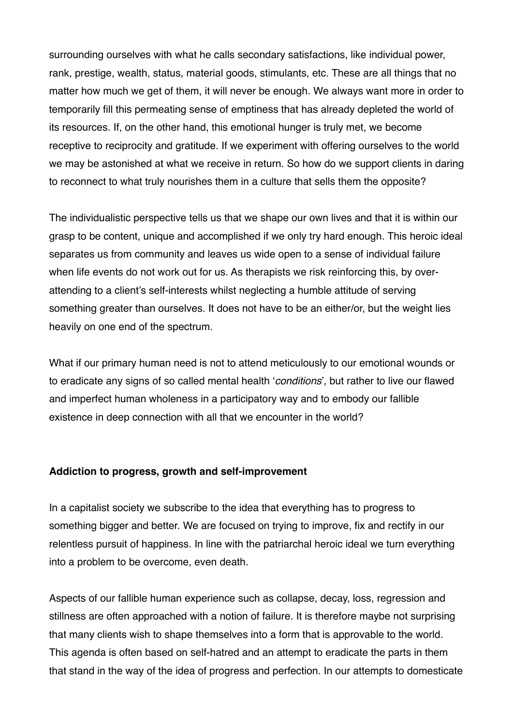surrounding ourselves with what he calls secondary satisfactions, like individual power, rank, prestige, wealth, status, material goods, stimulants, etc. These are all things that no matter how much we get of them, it will never be enough. We always want more in order to temporarily fill this permeating sense of emptiness that has already depleted the world of its resources. If, on the other hand, this emotional hunger is truly met, we become receptive to reciprocity and gratitude. If we experiment with offering ourselves to the world we may be astonished at what we receive in return. So how do we support clients in daring to reconnect to what truly nourishes them in a culture that sells them the opposite?

The individualistic perspective tells us that we shape our own lives and that it is within our grasp to be content, unique and accomplished if we only try hard enough. This heroic ideal separates us from community and leaves us wide open to a sense of individual failure when life events do not work out for us. As therapists we risk reinforcing this, by overattending to a client's self-interests whilst neglecting a humble attitude of serving something greater than ourselves. It does not have to be an either/or, but the weight lies heavily on one end of the spectrum.

What if our primary human need is not to attend meticulously to our emotional wounds or to eradicate any signs of so called mental health '*conditions*'*,* but rather to live our flawed and imperfect human wholeness in a participatory way and to embody our fallible existence in deep connection with all that we encounter in the world?

#### **Addiction to progress, growth and self-improvement**

In a capitalist society we subscribe to the idea that everything has to progress to something bigger and better. We are focused on trying to improve, fix and rectify in our relentless pursuit of happiness. In line with the patriarchal heroic ideal we turn everything into a problem to be overcome, even death.

Aspects of our fallible human experience such as collapse, decay, loss, regression and stillness are often approached with a notion of failure. It is therefore maybe not surprising that many clients wish to shape themselves into a form that is approvable to the world. This agenda is often based on self-hatred and an attempt to eradicate the parts in them that stand in the way of the idea of progress and perfection. In our attempts to domesticate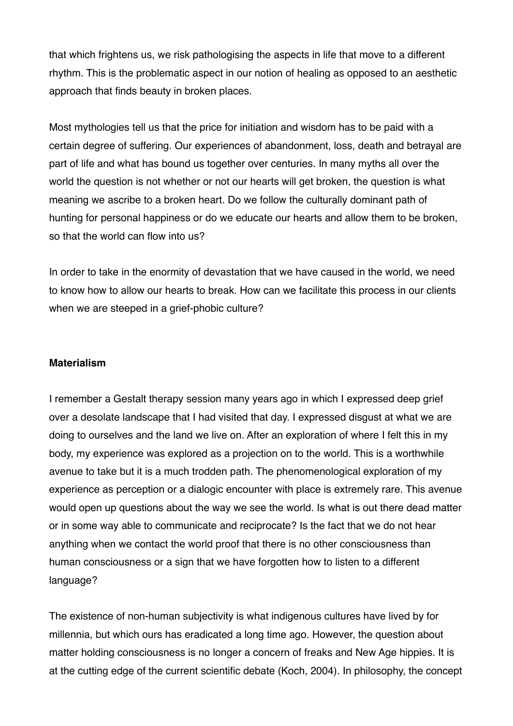that which frightens us, we risk pathologising the aspects in life that move to a different rhythm. This is the problematic aspect in our notion of healing as opposed to an aesthetic approach that finds beauty in broken places.

Most mythologies tell us that the price for initiation and wisdom has to be paid with a certain degree of suffering. Our experiences of abandonment, loss, death and betrayal are part of life and what has bound us together over centuries. In many myths all over the world the question is not whether or not our hearts will get broken, the question is what meaning we ascribe to a broken heart. Do we follow the culturally dominant path of hunting for personal happiness or do we educate our hearts and allow them to be broken, so that the world can flow into us?

In order to take in the enormity of devastation that we have caused in the world, we need to know how to allow our hearts to break. How can we facilitate this process in our clients when we are steeped in a grief-phobic culture?

#### **Materialism**

I remember a Gestalt therapy session many years ago in which I expressed deep grief over a desolate landscape that I had visited that day. I expressed disgust at what we are doing to ourselves and the land we live on. After an exploration of where I felt this in my body, my experience was explored as a projection on to the world. This is a worthwhile avenue to take but it is a much trodden path. The phenomenological exploration of my experience as perception or a dialogic encounter with place is extremely rare. This avenue would open up questions about the way we see the world. Is what is out there dead matter or in some way able to communicate and reciprocate? Is the fact that we do not hear anything when we contact the world proof that there is no other consciousness than human consciousness or a sign that we have forgotten how to listen to a different language?

The existence of non-human subjectivity is what indigenous cultures have lived by for millennia, but which ours has eradicated a long time ago. However, the question about matter holding consciousness is no longer a concern of freaks and New Age hippies. It is at the cutting edge of the current scientific debate (Koch, 2004). In philosophy, the concept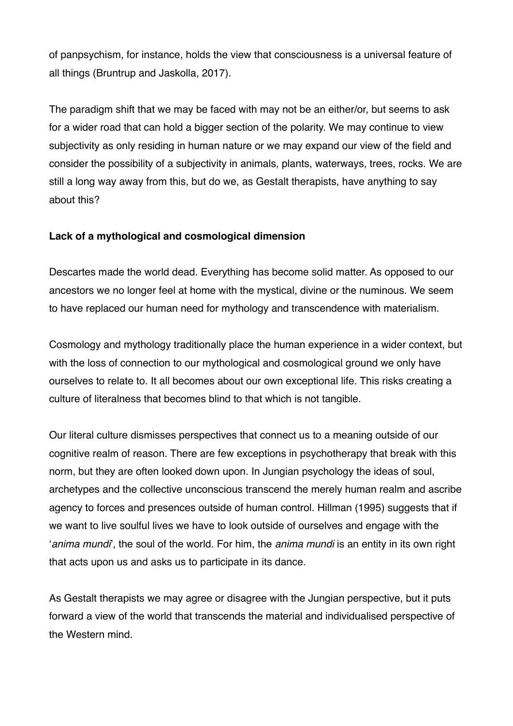of panpsychism, for instance, holds the view that consciousness is a universal feature of all things (Bruntrup and Jaskolla, 2017).

The paradigm shift that we may be faced with may not be an either/or, but seems to ask for a wider road that can hold a bigger section of the polarity. We may continue to view subjectivity as only residing in human nature or we may expand our view of the field and consider the possibility of a subjectivity in animals, plants, waterways, trees, rocks. We are still a long way away from this, but do we, as Gestalt therapists, have anything to say about this?

# **Lack of a mythological and cosmological dimension**

Descartes made the world dead. Everything has become solid matter. As opposed to our ancestors we no longer feel at home with the mystical, divine or the numinous. We seem to have replaced our human need for mythology and transcendence with materialism.

Cosmology and mythology traditionally place the human experience in a wider context, but with the loss of connection to our mythological and cosmological ground we only have ourselves to relate to. It all becomes about our own exceptional life. This risks creating a culture of literalness that becomes blind to that which is not tangible.

Our literal culture dismisses perspectives that connect us to a meaning outside of our cognitive realm of reason. There are few exceptions in psychotherapy that break with this norm, but they are often looked down upon. In Jungian psychology the ideas of soul, archetypes and the collective unconscious transcend the merely human realm and ascribe agency to forces and presences outside of human control. Hillman (1995) suggests that if we want to live soulful lives we have to look outside of ourselves and engage with the '*anima mundi*', the soul of the world. For him, the *anima mundi* is an entity in its own right that acts upon us and asks us to participate in its dance.

As Gestalt therapists we may agree or disagree with the Jungian perspective, but it puts forward a view of the world that transcends the material and individualised perspective of the Western mind.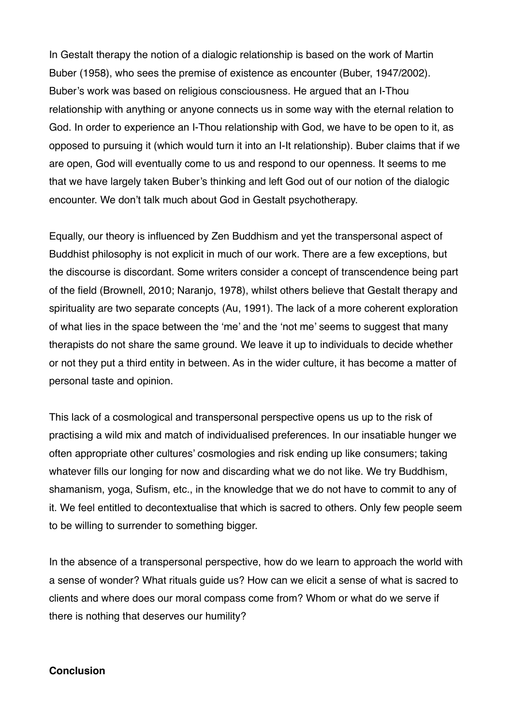In Gestalt therapy the notion of a dialogic relationship is based on the work of Martin Buber (1958), who sees the premise of existence as encounter (Buber, 1947/2002). Buber's work was based on religious consciousness. He argued that an I-Thou relationship with anything or anyone connects us in some way with the eternal relation to God. In order to experience an I-Thou relationship with God, we have to be open to it, as opposed to pursuing it (which would turn it into an I-It relationship). Buber claims that if we are open, God will eventually come to us and respond to our openness. It seems to me that we have largely taken Buber's thinking and left God out of our notion of the dialogic encounter. We don't talk much about God in Gestalt psychotherapy.

Equally, our theory is influenced by Zen Buddhism and yet the transpersonal aspect of Buddhist philosophy is not explicit in much of our work. There are a few exceptions, but the discourse is discordant. Some writers consider a concept of transcendence being part of the field (Brownell, 2010; Naranjo, 1978), whilst others believe that Gestalt therapy and spirituality are two separate concepts (Au, 1991). The lack of a more coherent exploration of what lies in the space between the 'me' and the 'not me' seems to suggest that many therapists do not share the same ground. We leave it up to individuals to decide whether or not they put a third entity in between. As in the wider culture, it has become a matter of personal taste and opinion.

This lack of a cosmological and transpersonal perspective opens us up to the risk of practising a wild mix and match of individualised preferences. In our insatiable hunger we often appropriate other cultures' cosmologies and risk ending up like consumers; taking whatever fills our longing for now and discarding what we do not like. We try Buddhism, shamanism, yoga, Sufism, etc., in the knowledge that we do not have to commit to any of it. We feel entitled to decontextualise that which is sacred to others. Only few people seem to be willing to surrender to something bigger.

In the absence of a transpersonal perspective, how do we learn to approach the world with a sense of wonder? What rituals guide us? How can we elicit a sense of what is sacred to clients and where does our moral compass come from? Whom or what do we serve if there is nothing that deserves our humility?

#### **Conclusion**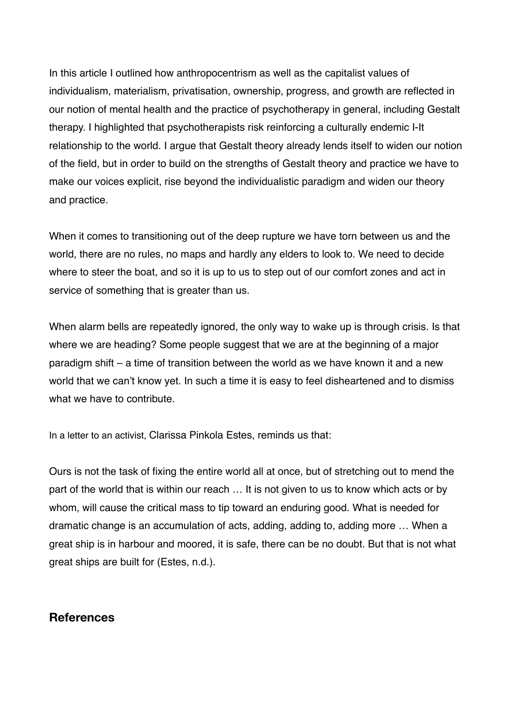In this article I outlined how anthropocentrism as well as the capitalist values of individualism, materialism, privatisation, ownership, progress, and growth are reflected in our notion of mental health and the practice of psychotherapy in general, including Gestalt therapy. I highlighted that psychotherapists risk reinforcing a culturally endemic I-It relationship to the world. I argue that Gestalt theory already lends itself to widen our notion of the field, but in order to build on the strengths of Gestalt theory and practice we have to make our voices explicit, rise beyond the individualistic paradigm and widen our theory and practice.

When it comes to transitioning out of the deep rupture we have torn between us and the world, there are no rules, no maps and hardly any elders to look to. We need to decide where to steer the boat, and so it is up to us to step out of our comfort zones and act in service of something that is greater than us.

When alarm bells are repeatedly ignored, the only way to wake up is through crisis. Is that where we are heading? Some people suggest that we are at the beginning of a major paradigm shift – a time of transition between the world as we have known it and a new world that we can't know yet. In such a time it is easy to feel disheartened and to dismiss what we have to contribute.

In a letter to an activist, Clarissa Pinkola Estes, reminds us that:

Ours is not the task of fixing the entire world all at once, but of stretching out to mend the part of the world that is within our reach … It is not given to us to know which acts or by whom, will cause the critical mass to tip toward an enduring good. What is needed for dramatic change is an accumulation of acts, adding, adding to, adding more … When a great ship is in harbour and moored, it is safe, there can be no doubt. But that is not what great ships are built for (Estes, n.d.).

# **References**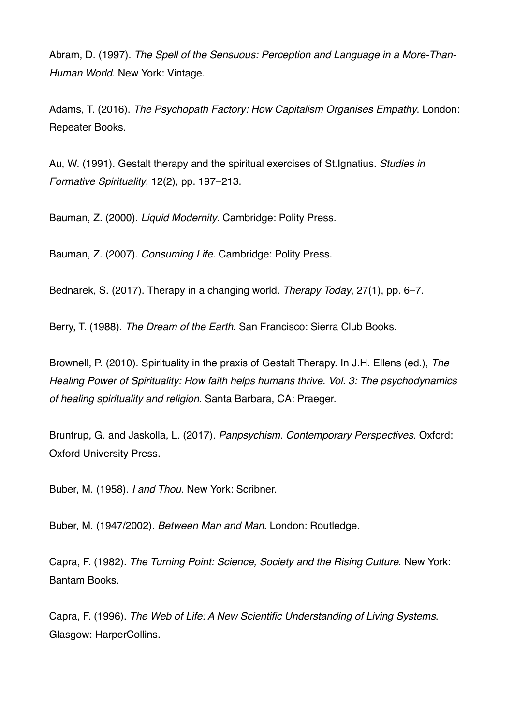Abram, D. (1997). *The Spell of the Sensuous: Perception and Language in a More-Than-Human World*. New York: Vintage.

Adams, T. (2016). *The Psychopath Factory: How Capitalism Organises Empathy*. London: Repeater Books.

Au, W. (1991). Gestalt therapy and the spiritual exercises of St.Ignatius. *Studies in Formative Spirituality*, 12(2), pp. 197–213.

Bauman, Z. (2000). *Liquid Modernity*. Cambridge: Polity Press.

Bauman, Z. (2007). *Consuming Life*. Cambridge: Polity Press.

Bednarek, S. (2017). Therapy in a changing world. *Therapy Today*, 27(1), pp. 6–7.

Berry, T. (1988). *The Dream of the Earth*. San Francisco: Sierra Club Books.

Brownell, P. (2010). Spirituality in the praxis of Gestalt Therapy. In J.H. Ellens (ed.), *The Healing Power of Spirituality: How faith helps humans thrive. Vol. 3: The psychodynamics of healing spirituality and religion*. Santa Barbara, CA: Praeger.

Bruntrup, G. and Jaskolla, L. (2017). *Panpsychism. Contemporary Perspectives*. Oxford: Oxford University Press.

Buber, M. (1958). *I and Thou*. New York: Scribner.

Buber, M. (1947/2002). *Between Man and Man*. London: Routledge.

Capra, F. (1982). *The Turning Point: Science, Society and the Rising Culture*. New York: Bantam Books.

Capra, F. (1996). *The Web of Life: A New Scientific Understanding of Living Systems*. Glasgow: HarperCollins.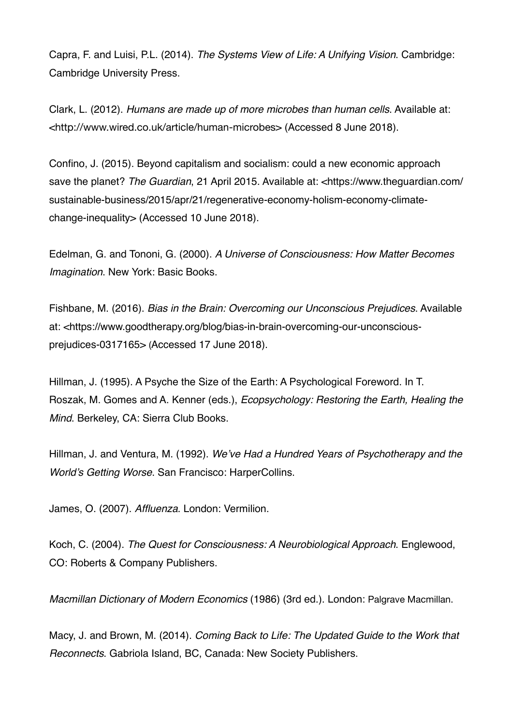Capra, F. and Luisi, P.L. (2014). *The Systems View of Life: A Unifying Vision*. Cambridge: Cambridge University Press.

Clark, L. (2012). *Humans are made up of more microbes than human cells*. Available at: <<http://www.wired.co.uk/article/human-microbes>> (Accessed 8 June 2018).

Confino, J. (2015). Beyond capitalism and socialism: could a new economic approach save the planet? *The Guardian*, 21 April 2015. Available at: [<https://www.theguardian.com/](https://www.theguardian.com/sustainable-business/2015/apr/21/regenerative-economy-holism-economy-climate-change-inequality) [sustainable-business/2015/apr/21/regenerative-economy-holism-economy-climate](https://www.theguardian.com/sustainable-business/2015/apr/21/regenerative-economy-holism-economy-climate-change-inequality)[change-inequality](https://www.theguardian.com/sustainable-business/2015/apr/21/regenerative-economy-holism-economy-climate-change-inequality)> (Accessed 10 June 2018).

Edelman, G. and Tononi, G. (2000). *A Universe of Consciousness: How Matter Becomes Imagination*. New York: Basic Books.

Fishbane, M. (2016). *Bias in the Brain: Overcoming our Unconscious Prejudices*. Available at: <https://www.goodtherapy.org/blog/bias-in-brain-overcoming-our-unconsciousprejudices-0317165> (Accessed 17 June 2018).

Hillman, J. (1995). A Psyche the Size of the Earth: A Psychological Foreword. In T. Roszak, M. Gomes and A. Kenner (eds.), *Ecopsychology: Restoring the Earth, Healing the Mind*. Berkeley, CA: Sierra Club Books.

Hillman, J. and Ventura, M. (1992). *We've Had a Hundred Years of Psychotherapy and the World's Getting Worse*. San Francisco: HarperCollins.

James, O. (2007). *Affluenza*. London: Vermilion.

Koch, C. (2004). *The Quest for Consciousness: A Neurobiological Approach*. Englewood, CO: Roberts & Company Publishers.

*Macmillan Dictionary of Modern Economics* (1986) (3rd ed.). London: Palgrave Macmillan.

Macy, J. and Brown, M. (2014). *Coming Back to Life: The Updated Guide to the Work that Reconnects*. Gabriola Island, BC, Canada: New Society Publishers.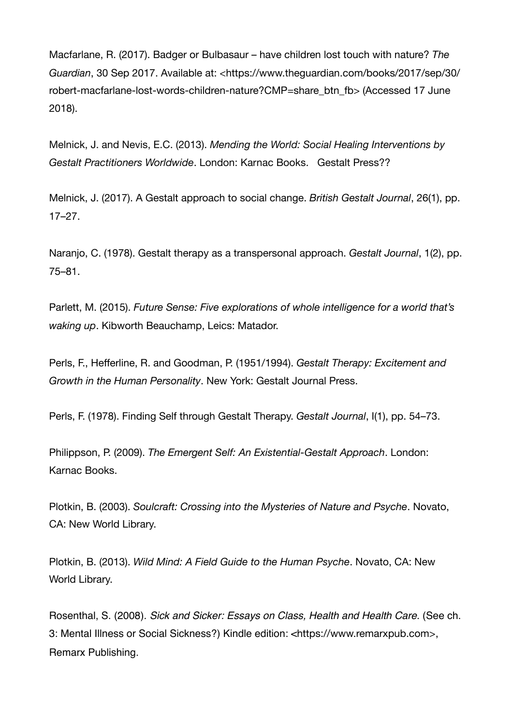Macfarlane, R. (2017). Badger or Bulbasaur – have children lost touch with nature? *The Guardian*, 30 Sep 2017. Available at: [<https://www.theguardian.com/books/2017/sep/30/](https://www.theguardian.com/books/2017/sep/30/robert-macfarlane-lost-words-children-nature?CMP=share_btn_fb) [robert-macfarlane-lost-words-children-nature?CMP=share\\_btn\\_fb> \(Accessed 17 June](https://www.theguardian.com/books/2017/sep/30/robert-macfarlane-lost-words-children-nature?CMP=share_btn_fb)  2018).

Melnick, J. and Nevis, E.C. (2013). *Mending the World: Social Healing Interventions by Gestalt Practitioners Worldwide*. London: Karnac Books. Gestalt Press??

Melnick, J. (2017). A Gestalt approach to social change. *British Gestalt Journal*, 26(1), pp. 17–27.

Naranjo, C. (1978). Gestalt therapy as a transpersonal approach. *Gestalt Journal*, 1(2), pp. 75–81.

Parlett, M. (2015). *Future Sense: Five explorations of whole intelligence for a world that's waking up*. Kibworth Beauchamp, Leics: Matador.

Perls, F., Hefferline, R. and Goodman, P. (1951/1994). *Gestalt Therapy: Excitement and Growth in the Human Personality*. New York: Gestalt Journal Press.

Perls, F. (1978). Finding Self through Gestalt Therapy. *Gestalt Journal*, I(1), pp. 54–73.

Philippson, P. (2009). *The Emergent Self: An Existential-Gestalt Approach*. London: Karnac Books.

Plotkin, B. (2003). *Soulcraft: Crossing into the Mysteries of Nature and Psyche*. Novato, CA: New World Library.

Plotkin, B. (2013). *Wild Mind: A Field Guide to the Human Psyche*. Novato, CA: New World Library.

Rosenthal, S. (2008). *Sick and Sicker: Essays on Class, Health and Health Care*. (See ch. 3: Mental Illness or Social Sickness?) Kindle edition: <<https://www.remarxpub.com>>, Remarx Publishing.